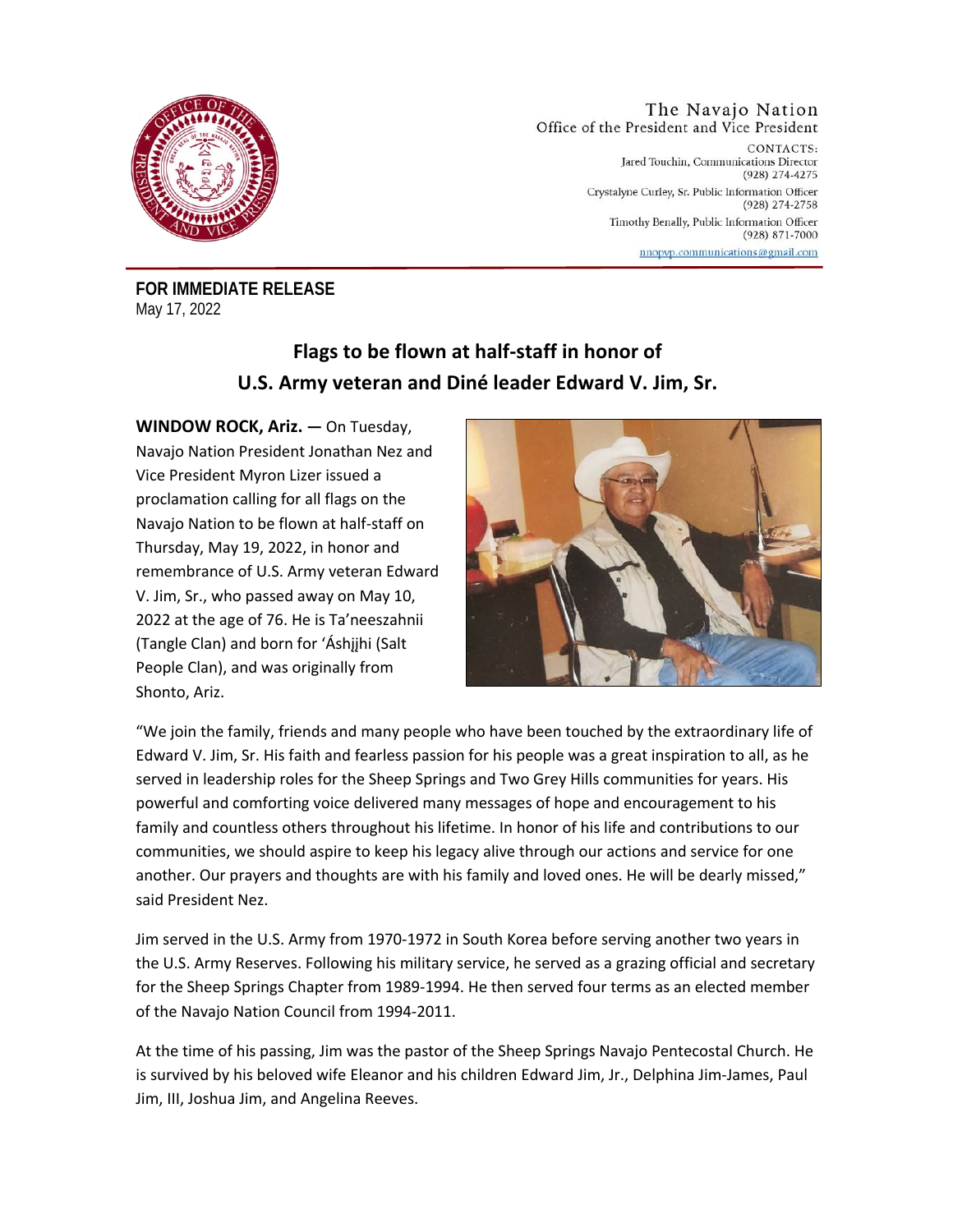

The Navajo Nation Office of the President and Vice President

> CONTACTS: Jared Touchin, Communications Director (928) 274-4275 Crystalyne Curley, Sr. Public Information Officer (928) 274-2758 Timothy Benally, Public Information Officer (928) 871-7000 nnopvp.communications@gmail.com

**FOR IMMEDIATE RELEASE**  May 17, 2022

## **Flags to be flown at half-staff in honor of U.S. Army veteran and Diné leader Edward V. Jim, Sr.**

**WINDOW ROCK, Ariz. —** On Tuesday, Navajo Nation President Jonathan Nez and Vice President Myron Lizer issued a proclamation calling for all flags on the Navajo Nation to be flown at half-staff on Thursday, May 19, 2022, in honor and remembrance of U.S. Army veteran Edward V. Jim, Sr., who passed away on May 10, 2022 at the age of 76. He is Ta'neeszahnii (Tangle Clan) and born for 'Áshįįhi (Salt People Clan), and was originally from Shonto, Ariz.



"We join the family, friends and many people who have been touched by the extraordinary life of Edward V. Jim, Sr. His faith and fearless passion for his people was a great inspiration to all, as he served in leadership roles for the Sheep Springs and Two Grey Hills communities for years. His powerful and comforting voice delivered many messages of hope and encouragement to his family and countless others throughout his lifetime. In honor of his life and contributions to our communities, we should aspire to keep his legacy alive through our actions and service for one another. Our prayers and thoughts are with his family and loved ones. He will be dearly missed," said President Nez.

Jim served in the U.S. Army from 1970-1972 in South Korea before serving another two years in the U.S. Army Reserves. Following his military service, he served as a grazing official and secretary for the Sheep Springs Chapter from 1989-1994. He then served four terms as an elected member of the Navajo Nation Council from 1994-2011.

At the time of his passing, Jim was the pastor of the Sheep Springs Navajo Pentecostal Church. He is survived by his beloved wife Eleanor and his children Edward Jim, Jr., Delphina Jim-James, Paul Jim, III, Joshua Jim, and Angelina Reeves.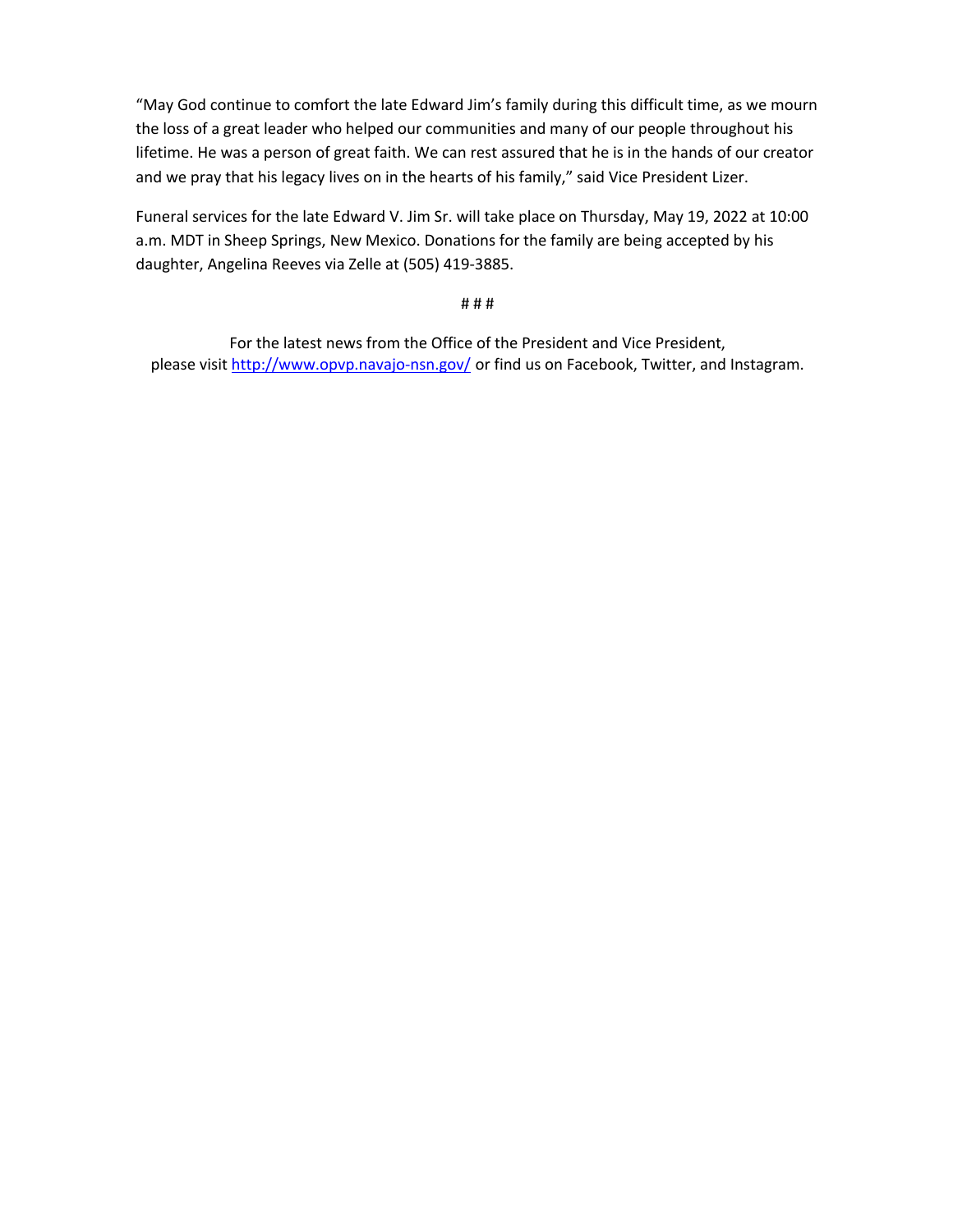"May God continue to comfort the late Edward Jim's family during this difficult time, as we mourn the loss of a great leader who helped our communities and many of our people throughout his lifetime. He was a person of great faith. We can rest assured that he is in the hands of our creator and we pray that his legacy lives on in the hearts of his family," said Vice President Lizer.

Funeral services for the late Edward V. Jim Sr. will take place on Thursday, May 19, 2022 at 10:00 a.m. MDT in Sheep Springs, New Mexico. Donations for the family are being accepted by his daughter, Angelina Reeves via Zelle at (505) 419-3885.

## # # #

For the latest news from the Office of the President and Vice President, please visit http://www.opvp.navajo-nsn.gov/ or find us on Facebook, Twitter, and Instagram.